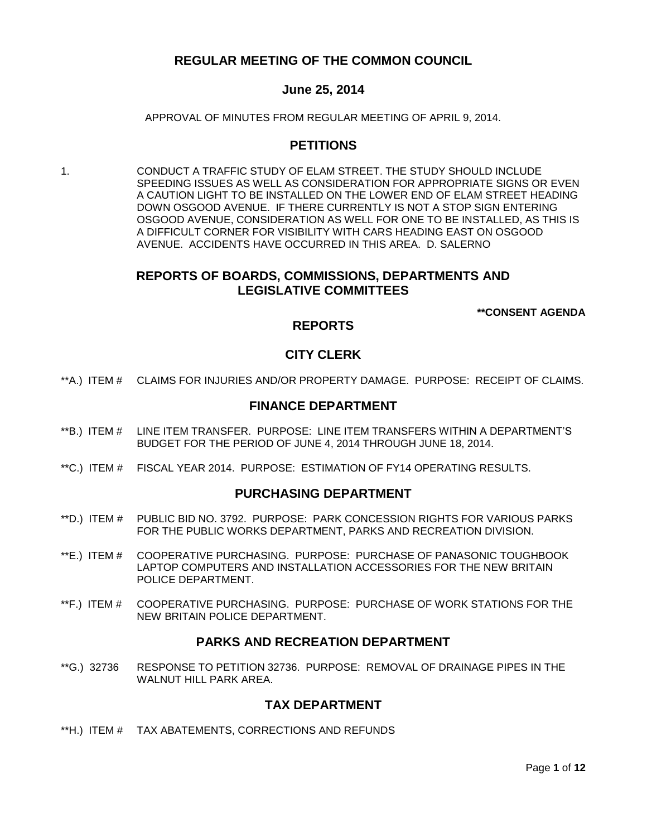# **REGULAR MEETING OF THE COMMON COUNCIL**

# **June 25, 2014**

APPROVAL OF MINUTES FROM REGULAR MEETING OF APRIL 9, 2014.

## **PETITIONS**

1. CONDUCT A TRAFFIC STUDY OF ELAM STREET. THE STUDY SHOULD INCLUDE SPEEDING ISSUES AS WELL AS CONSIDERATION FOR APPROPRIATE SIGNS OR EVEN A CAUTION LIGHT TO BE INSTALLED ON THE LOWER END OF ELAM STREET HEADING DOWN OSGOOD AVENUE. IF THERE CURRENTLY IS NOT A STOP SIGN ENTERING OSGOOD AVENUE, CONSIDERATION AS WELL FOR ONE TO BE INSTALLED, AS THIS IS A DIFFICULT CORNER FOR VISIBILITY WITH CARS HEADING EAST ON OSGOOD AVENUE. ACCIDENTS HAVE OCCURRED IN THIS AREA. D. SALERNO

## **REPORTS OF BOARDS, COMMISSIONS, DEPARTMENTS AND LEGISLATIVE COMMITTEES**

**\*\*CONSENT AGENDA**

## **REPORTS**

# **CITY CLERK**

\*\*A.) ITEM # [CLAIMS FOR INJURIES AND/OR PROPERTY DAMAGE. PURPOSE: RECEIPT OF CLAIMS.](#page-2-0)

### **FINANCE DEPARTMENT**

- \*\*B.) ITEM # [LINE ITEM TRANSFER. PURPOSE: LINE ITEM TRANSFERS](#page-2-1) WITHIN A DEPARTMENT'S [BUDGET FOR THE PERIOD OF JUNE 4, 2014 THROUGH JUNE 18, 2014.](#page-2-1)
- \*\*C.) ITEM # [FISCAL YEAR 2014. PURPOSE: ESTIMATION OF FY14 OPERATING RESULTS.](#page-3-0)

### **PURCHASING DEPARTMENT**

- \*\*D.) ITEM # [PUBLIC BID NO. 3792. PURPOSE: PARK CONCESSION RIGHTS FOR VARIOUS PARKS](#page-3-1)  [FOR THE PUBLIC WORKS DEPARTMENT, PARKS AND RECREATION DIVISION.](#page-3-1)
- \*\*E.) ITEM # [COOPERATIVE PURCHASING. PURPOSE: PURCHASE OF PANASONIC TOUGHBOOK](#page-4-0)  [LAPTOP COMPUTERS AND INSTALLATION ACCESSORIES FOR THE NEW BRITAIN](#page-4-0)  [POLICE DEPARTMENT.](#page-4-0)
- \*\*F.) ITEM # [COOPERATIVE PURCHASING. PURPOSE: PURCHASE OF](#page-5-0) WORK STATIONS FOR THE [NEW BRITAIN POLICE DEPARTMENT.](#page-5-0)

## **PARKS AND RECREATION DEPARTMENT**

\*\*G.) 32736 [RESPONSE TO PETITION 32736. PURPOSE: REMOVAL OF DRAINAGE PIPES IN THE](#page-5-1)  [WALNUT HILL PARK AREA.](#page-5-1)

### **TAX DEPARTMENT**

\*\*H.) ITEM # [TAX ABATEMENTS, CORRECTIONS AND REFUNDS](#page-5-2)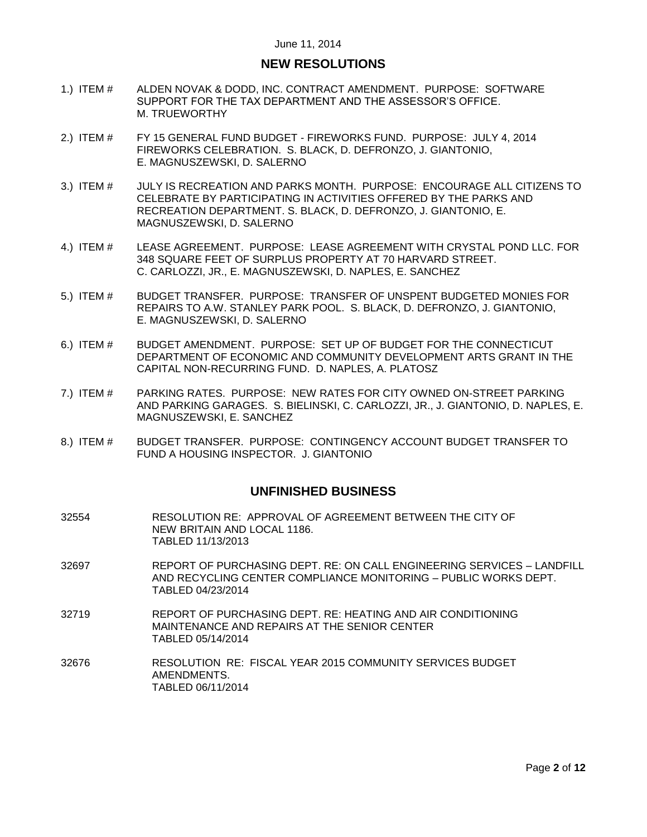## **NEW RESOLUTIONS**

- 1.) ITEM # [ALDEN NOVAK & DODD, INC. CONTRACT AMENDMENT. PURPOSE: SOFTWARE](#page-6-0)  [SUPPORT FOR THE TAX DEPARTMENT AND THE ASSESSOR'S OFFICE.](#page-6-0) [M. TRUEWORTHY](#page-6-0)
- 2.) ITEM # FY 15 GENERAL FUND BUDGET [FIREWORKS FUND. PURPOSE: JULY 4, 2014](#page-6-1)  [FIREWORKS CELEBRATION. S. BLACK, D. DEFRONZO, J. GIANTONIO,](#page-6-1)  [E. MAGNUSZEWSKI, D. SALERNO](#page-6-1)
- 3.) ITEM # [JULY IS RECREATION AND PARKS MONTH. PURPOSE: ENCOURAGE ALL CITIZENS TO](#page-7-0)  [CELEBRATE BY PARTICIPATING IN ACTIVITIES OFFERED BY THE PARKS AND](#page-7-0)  [RECREATION DEPARTMENT. S. BLACK, D. DEFRONZO, J. GIANTONIO, E.](#page-7-0)  [MAGNUSZEWSKI, D. SALERNO](#page-7-0)
- 4.) ITEM # [LEASE AGREEMENT. PURPOSE: LEASE AGREEMENT WITH CRYSTAL POND LLC. FOR](#page-8-0)  [348 SQUARE FEET OF SURPLUS PROPERTY AT 70 HARVARD STREET.](#page-8-0)  [C. CARLOZZI, JR., E. MAGNUSZEWSKI, D. NAPLES, E. SANCHEZ](#page-8-0)
- 5.) ITEM # [BUDGET TRANSFER. PURPOSE: TRANSFER OF UNSPENT BUDGETED MONIES FOR](#page-8-1)  [REPAIRS TO A.W. STANLEY PARK POOL. S. BLACK, D. DEFRONZO, J. GIANTONIO,](#page-8-1)  [E. MAGNUSZEWSKI, D. SALERNO](#page-8-1)
- 6.) ITEM # [BUDGET AMENDMENT. PURPOSE: SET UP OF BUDGET FOR THE CONNECTICUT](#page-9-0)  [DEPARTMENT OF ECONOMIC AND COMMUNITY DEVELOPMENT ARTS GRANT](#page-9-0) IN THE [CAPITAL NON-RECURRING FUND. D. NAPLES, A. PLATOSZ](#page-9-0)
- 7.) ITEM # [PARKING RATES. PURPOSE: NEW RATES FOR CITY OWNED ON-STREET PARKING](#page-10-0)  [AND PARKING GARAGES. S. BIELINSKI, C. CARLOZZI, JR., J. GIANTONIO, D. NAPLES, E.](#page-10-0)  [MAGNUSZEWSKI, E. SANCHEZ](#page-10-0)
- 8.) ITEM # [BUDGET TRANSFER. PURPOSE: CONTINGENCY ACCOUNT BUDGET TRANSFER TO](#page-11-0)  [FUND A HOUSING INSPECTOR. J. GIANTONIO](#page-11-0)

### **UNFINISHED BUSINESS**

- 32554 RESOLUTION RE: APPROVAL OF AGREEMENT BETWEEN THE CITY OF NEW BRITAIN AND LOCAL 1186. TABLED 11/13/2013
- 32697 REPORT OF PURCHASING DEPT. RE: ON CALL ENGINEERING SERVICES LANDFILL AND RECYCLING CENTER COMPLIANCE MONITORING – PUBLIC WORKS DEPT. TABLED 04/23/2014
- 32719 REPORT OF PURCHASING DEPT. RE: HEATING AND AIR CONDITIONING MAINTENANCE AND REPAIRS AT THE SENIOR CENTER TABLED 05/14/2014
- 32676 RESOLUTION RE: FISCAL YEAR 2015 COMMUNITY SERVICES BUDGET AMENDMENTS. TABLED 06/11/2014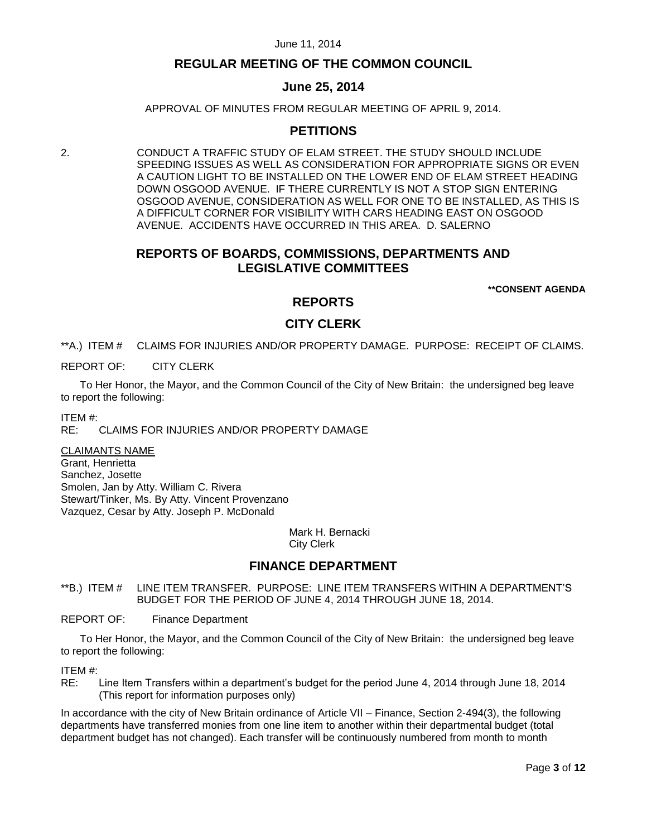# **REGULAR MEETING OF THE COMMON COUNCIL**

# **June 25, 2014**

APPROVAL OF MINUTES FROM REGULAR MEETING OF APRIL 9, 2014.

# **PETITIONS**

2. CONDUCT A TRAFFIC STUDY OF ELAM STREET. THE STUDY SHOULD INCLUDE SPEEDING ISSUES AS WELL AS CONSIDERATION FOR APPROPRIATE SIGNS OR EVEN A CAUTION LIGHT TO BE INSTALLED ON THE LOWER END OF ELAM STREET HEADING DOWN OSGOOD AVENUE. IF THERE CURRENTLY IS NOT A STOP SIGN ENTERING OSGOOD AVENUE, CONSIDERATION AS WELL FOR ONE TO BE INSTALLED, AS THIS IS A DIFFICULT CORNER FOR VISIBILITY WITH CARS HEADING EAST ON OSGOOD AVENUE. ACCIDENTS HAVE OCCURRED IN THIS AREA. D. SALERNO

# **REPORTS OF BOARDS, COMMISSIONS, DEPARTMENTS AND LEGISLATIVE COMMITTEES**

**\*\*CONSENT AGENDA**

## **REPORTS**

## **CITY CLERK**

<span id="page-2-0"></span>\*\*A.) ITEM # CLAIMS FOR INJURIES AND/OR PROPERTY DAMAGE. PURPOSE: RECEIPT OF CLAIMS.

REPORT OF: CITY CLERK

To Her Honor, the Mayor, and the Common Council of the City of New Britain: the undersigned beg leave to report the following:

ITEM #:

RE: CLAIMS FOR INJURIES AND/OR PROPERTY DAMAGE

CLAIMANTS NAME Grant, Henrietta Sanchez, Josette Smolen, Jan by Atty. William C. Rivera Stewart/Tinker, Ms. By Atty. Vincent Provenzano Vazquez, Cesar by Atty. Joseph P. McDonald

> Mark H. Bernacki City Clerk

## **FINANCE DEPARTMENT**

<span id="page-2-1"></span>\*\*B.) ITEM # LINE ITEM TRANSFER. PURPOSE: LINE ITEM TRANSFERS WITHIN A DEPARTMENT'S BUDGET FOR THE PERIOD OF JUNE 4, 2014 THROUGH JUNE 18, 2014.

REPORT OF: Finance Department

To Her Honor, the Mayor, and the Common Council of the City of New Britain: the undersigned beg leave to report the following:

ITEM #:

RE: Line Item Transfers within a department's budget for the period June 4, 2014 through June 18, 2014 (This report for information purposes only)

In accordance with the city of New Britain ordinance of Article VII – Finance, Section 2-494(3), the following departments have transferred monies from one line item to another within their departmental budget (total department budget has not changed). Each transfer will be continuously numbered from month to month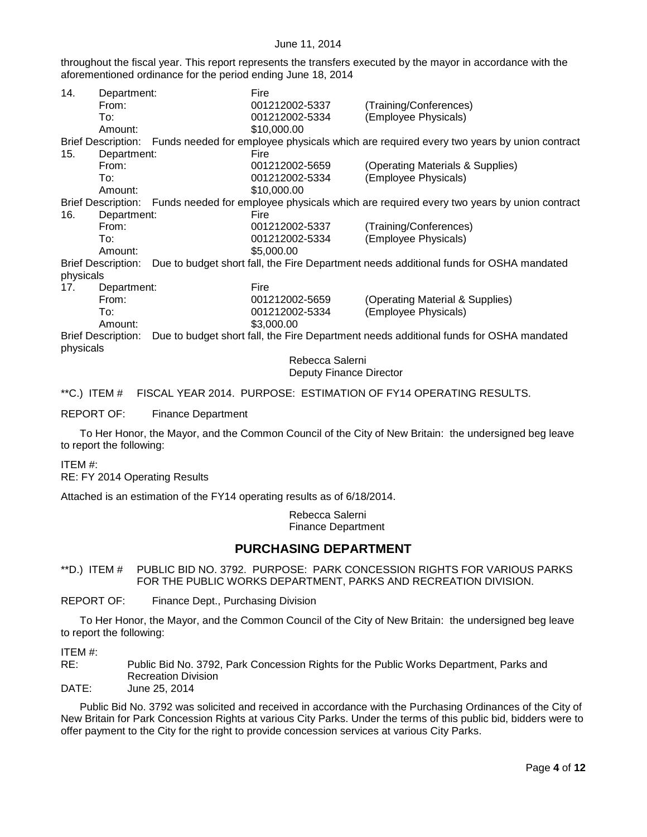throughout the fiscal year. This report represents the transfers executed by the mayor in accordance with the aforementioned ordinance for the period ending June 18, 2014

| 14.<br>Department:        |             | Fire       |                                                                                                             |                                                                                                             |
|---------------------------|-------------|------------|-------------------------------------------------------------------------------------------------------------|-------------------------------------------------------------------------------------------------------------|
|                           | From:       |            | 001212002-5337                                                                                              | (Training/Conferences)                                                                                      |
|                           | To:         |            | 001212002-5334                                                                                              | (Employee Physicals)                                                                                        |
|                           | Amount:     |            | \$10,000.00                                                                                                 |                                                                                                             |
|                           |             |            |                                                                                                             | Brief Description: Funds needed for employee physicals which are required every two years by union contract |
| 15.                       | Department: |            | Fire                                                                                                        |                                                                                                             |
|                           | From:       |            | 001212002-5659                                                                                              | (Operating Materials & Supplies)                                                                            |
|                           | To:         |            | 001212002-5334                                                                                              | (Employee Physicals)                                                                                        |
|                           | Amount:     |            | \$10,000.00                                                                                                 |                                                                                                             |
|                           |             |            | Brief Description: Funds needed for employee physicals which are required every two years by union contract |                                                                                                             |
| 16.                       | Department: |            | Fire                                                                                                        |                                                                                                             |
|                           | From:       |            | 001212002-5337                                                                                              | (Training/Conferences)                                                                                      |
|                           | To:         |            | 001212002-5334                                                                                              | (Employee Physicals)                                                                                        |
| Amount:                   |             | \$5,000.00 |                                                                                                             |                                                                                                             |
| <b>Brief Description:</b> |             |            | Due to budget short fall, the Fire Department needs additional funds for OSHA mandated                      |                                                                                                             |
| physicals                 |             |            |                                                                                                             |                                                                                                             |
| 17.                       | Department: |            | Fire                                                                                                        |                                                                                                             |
|                           | From:       |            | 001212002-5659                                                                                              | (Operating Material & Supplies)                                                                             |
|                           | To:         |            | 001212002-5334                                                                                              | (Employee Physicals)                                                                                        |
|                           | Amount:     |            | \$3,000.00                                                                                                  |                                                                                                             |
| <b>Brief Description:</b> |             |            | Due to budget short fall, the Fire Department needs additional funds for OSHA mandated                      |                                                                                                             |
| physicals                 |             |            |                                                                                                             |                                                                                                             |
|                           |             |            | Rebecca Salerni                                                                                             |                                                                                                             |
|                           |             |            | Deputy Finance Director                                                                                     |                                                                                                             |

<span id="page-3-0"></span>\*\*C.) ITEM # FISCAL YEAR 2014. PURPOSE: ESTIMATION OF FY14 OPERATING RESULTS.

REPORT OF: Finance Department

To Her Honor, the Mayor, and the Common Council of the City of New Britain: the undersigned beg leave to report the following:

ITEM #:

RE: FY 2014 Operating Results

Attached is an estimation of the FY14 operating results as of 6/18/2014.

Rebecca Salerni Finance Department

# **PURCHASING DEPARTMENT**

<span id="page-3-1"></span>\*\*D.) ITEM # PUBLIC BID NO. 3792. PURPOSE: PARK CONCESSION RIGHTS FOR VARIOUS PARKS FOR THE PUBLIC WORKS DEPARTMENT, PARKS AND RECREATION DIVISION.

REPORT OF: Finance Dept., Purchasing Division

To Her Honor, the Mayor, and the Common Council of the City of New Britain: the undersigned beg leave to report the following:

ITEM #:

RE: Public Bid No. 3792, Park Concession Rights for the Public Works Department, Parks and Recreation Division

DATE: June 25, 2014

Public Bid No. 3792 was solicited and received in accordance with the Purchasing Ordinances of the City of New Britain for Park Concession Rights at various City Parks. Under the terms of this public bid, bidders were to offer payment to the City for the right to provide concession services at various City Parks.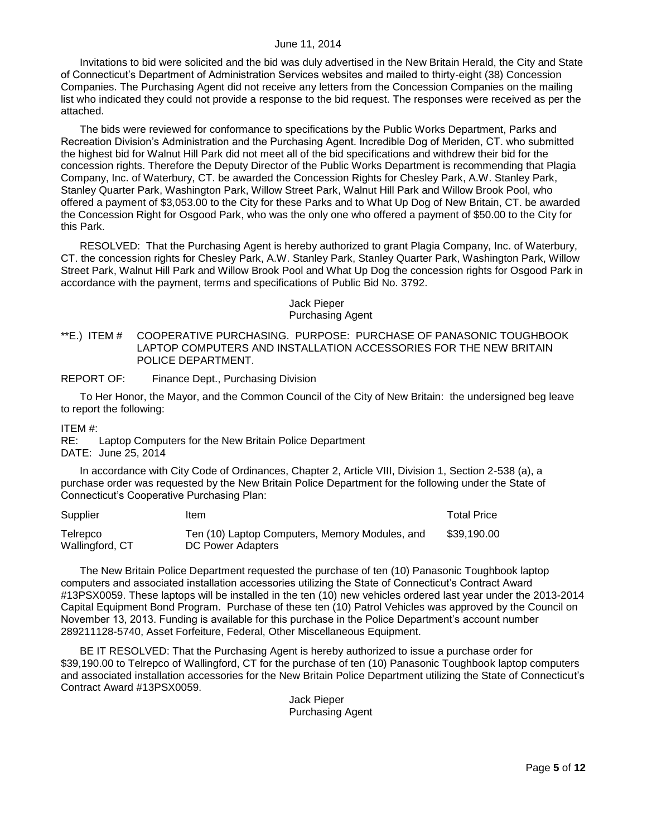Invitations to bid were solicited and the bid was duly advertised in the New Britain Herald, the City and State of Connecticut's Department of Administration Services websites and mailed to thirty-eight (38) Concession Companies. The Purchasing Agent did not receive any letters from the Concession Companies on the mailing list who indicated they could not provide a response to the bid request. The responses were received as per the attached.

The bids were reviewed for conformance to specifications by the Public Works Department, Parks and Recreation Division's Administration and the Purchasing Agent. Incredible Dog of Meriden, CT. who submitted the highest bid for Walnut Hill Park did not meet all of the bid specifications and withdrew their bid for the concession rights. Therefore the Deputy Director of the Public Works Department is recommending that Plagia Company, Inc. of Waterbury, CT. be awarded the Concession Rights for Chesley Park, A.W. Stanley Park, Stanley Quarter Park, Washington Park, Willow Street Park, Walnut Hill Park and Willow Brook Pool, who offered a payment of \$3,053.00 to the City for these Parks and to What Up Dog of New Britain, CT. be awarded the Concession Right for Osgood Park, who was the only one who offered a payment of \$50.00 to the City for this Park.

RESOLVED: That the Purchasing Agent is hereby authorized to grant Plagia Company, Inc. of Waterbury, CT. the concession rights for Chesley Park, A.W. Stanley Park, Stanley Quarter Park, Washington Park, Willow Street Park, Walnut Hill Park and Willow Brook Pool and What Up Dog the concession rights for Osgood Park in accordance with the payment, terms and specifications of Public Bid No. 3792.

> Jack Pieper Purchasing Agent

<span id="page-4-0"></span>\*\*E.) ITEM # COOPERATIVE PURCHASING. PURPOSE: PURCHASE OF PANASONIC TOUGHBOOK LAPTOP COMPUTERS AND INSTALLATION ACCESSORIES FOR THE NEW BRITAIN POLICE DEPARTMENT.

REPORT OF: Finance Dept., Purchasing Division

To Her Honor, the Mayor, and the Common Council of the City of New Britain: the undersigned beg leave to report the following:

ITEM #:

RE: Laptop Computers for the New Britain Police Department DATE: June 25, 2014

In accordance with City Code of Ordinances, Chapter 2, Article VIII, Division 1, Section 2-538 (a), a purchase order was requested by the New Britain Police Department for the following under the State of Connecticut's Cooperative Purchasing Plan:

| Supplier                    | Item                                                                | <b>Total Price</b> |
|-----------------------------|---------------------------------------------------------------------|--------------------|
| Telrepco<br>Wallingford, CT | Ten (10) Laptop Computers, Memory Modules, and<br>DC Power Adapters | \$39.190.00        |

The New Britain Police Department requested the purchase of ten (10) Panasonic Toughbook laptop computers and associated installation accessories utilizing the State of Connecticut's Contract Award #13PSX0059. These laptops will be installed in the ten (10) new vehicles ordered last year under the 2013-2014 Capital Equipment Bond Program. Purchase of these ten (10) Patrol Vehicles was approved by the Council on November 13, 2013. Funding is available for this purchase in the Police Department's account number 289211128-5740, Asset Forfeiture, Federal, Other Miscellaneous Equipment.

BE IT RESOLVED: That the Purchasing Agent is hereby authorized to issue a purchase order for \$39,190.00 to Telrepco of Wallingford, CT for the purchase of ten (10) Panasonic Toughbook laptop computers and associated installation accessories for the New Britain Police Department utilizing the State of Connecticut's Contract Award #13PSX0059.

> Jack Pieper Purchasing Agent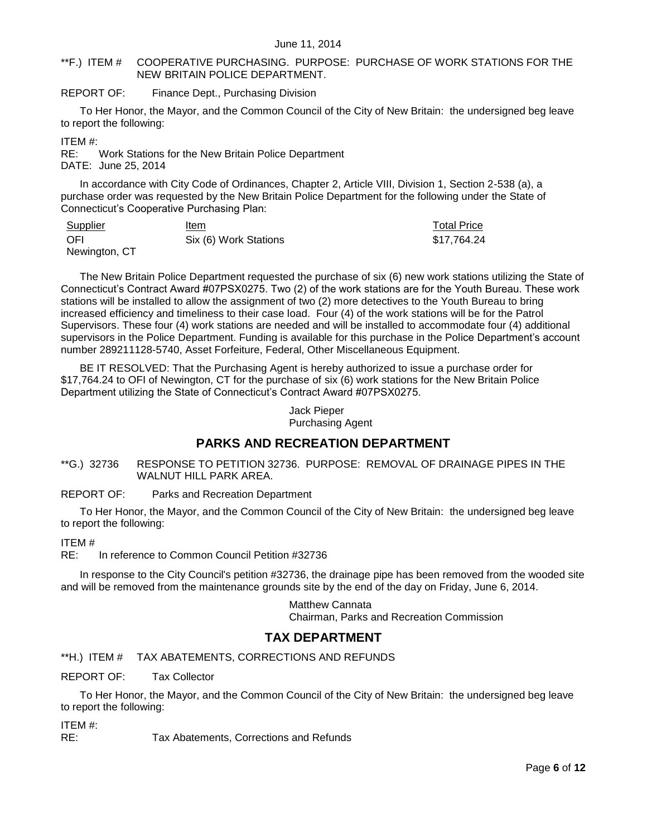### <span id="page-5-0"></span>\*\*F.) ITEM # COOPERATIVE PURCHASING. PURPOSE: PURCHASE OF WORK STATIONS FOR THE NEW BRITAIN POLICE DEPARTMENT.

### REPORT OF: Finance Dept., Purchasing Division

To Her Honor, the Mayor, and the Common Council of the City of New Britain: the undersigned beg leave to report the following:

ITEM #:

RE: Work Stations for the New Britain Police Department DATE: June 25, 2014

In accordance with City Code of Ordinances, Chapter 2, Article VIII, Division 1, Section 2-538 (a), a purchase order was requested by the New Britain Police Department for the following under the State of Connecticut's Cooperative Purchasing Plan:

| Supplier      | ltem                  | <b>Total Price</b> |
|---------------|-----------------------|--------------------|
| - OFI         | Six (6) Work Stations | \$17,764.24        |
| Newington, CT |                       |                    |

The New Britain Police Department requested the purchase of six (6) new work stations utilizing the State of Connecticut's Contract Award #07PSX0275. Two (2) of the work stations are for the Youth Bureau. These work stations will be installed to allow the assignment of two (2) more detectives to the Youth Bureau to bring increased efficiency and timeliness to their case load. Four (4) of the work stations will be for the Patrol Supervisors. These four (4) work stations are needed and will be installed to accommodate four (4) additional supervisors in the Police Department. Funding is available for this purchase in the Police Department's account number 289211128-5740, Asset Forfeiture, Federal, Other Miscellaneous Equipment.

BE IT RESOLVED: That the Purchasing Agent is hereby authorized to issue a purchase order for \$17,764.24 to OFI of Newington, CT for the purchase of six (6) work stations for the New Britain Police Department utilizing the State of Connecticut's Contract Award #07PSX0275.

> Jack Pieper Purchasing Agent

# **PARKS AND RECREATION DEPARTMENT**

<span id="page-5-1"></span>\*\*G.) 32736 RESPONSE TO PETITION 32736. PURPOSE: REMOVAL OF DRAINAGE PIPES IN THE WALNUT HILL PARK AREA.

### REPORT OF: Parks and Recreation Department

To Her Honor, the Mayor, and the Common Council of the City of New Britain: the undersigned beg leave to report the following:

ITEM #

RE: In reference to Common Council Petition #32736

In response to the City Council's petition #32736, the drainage pipe has been removed from the wooded site and will be removed from the maintenance grounds site by the end of the day on Friday, June 6, 2014.

> Matthew Cannata Chairman, Parks and Recreation Commission

# **TAX DEPARTMENT**

<span id="page-5-2"></span>\*\*H.) ITEM # TAX ABATEMENTS, CORRECTIONS AND REFUNDS

REPORT OF: Tax Collector

To Her Honor, the Mayor, and the Common Council of the City of New Britain: the undersigned beg leave to report the following:

ITEM #:

RE: Tax Abatements, Corrections and Refunds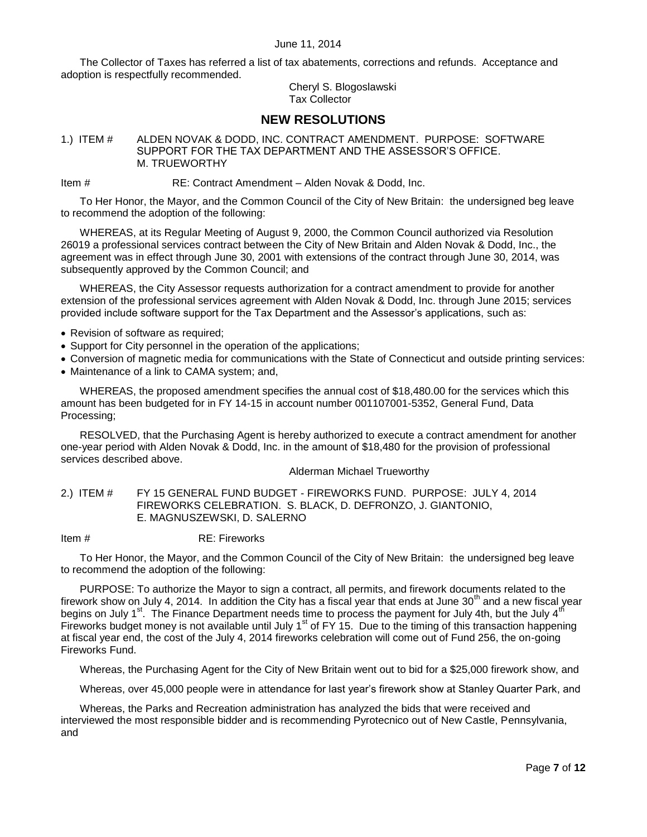The Collector of Taxes has referred a list of tax abatements, corrections and refunds. Acceptance and adoption is respectfully recommended.

> Cheryl S. Blogoslawski Tax Collector

# **NEW RESOLUTIONS**

<span id="page-6-0"></span>1.) ITEM # ALDEN NOVAK & DODD, INC. CONTRACT AMENDMENT. PURPOSE: SOFTWARE SUPPORT FOR THE TAX DEPARTMENT AND THE ASSESSOR'S OFFICE. M. TRUEWORTHY

Item # RE: Contract Amendment – Alden Novak & Dodd, Inc.

To Her Honor, the Mayor, and the Common Council of the City of New Britain: the undersigned beg leave to recommend the adoption of the following:

WHEREAS, at its Regular Meeting of August 9, 2000, the Common Council authorized via Resolution 26019 a professional services contract between the City of New Britain and Alden Novak & Dodd, Inc., the agreement was in effect through June 30, 2001 with extensions of the contract through June 30, 2014, was subsequently approved by the Common Council; and

WHEREAS, the City Assessor requests authorization for a contract amendment to provide for another extension of the professional services agreement with Alden Novak & Dodd, Inc. through June 2015; services provided include software support for the Tax Department and the Assessor's applications, such as:

- Revision of software as required;
- Support for City personnel in the operation of the applications;
- Conversion of magnetic media for communications with the State of Connecticut and outside printing services:
- Maintenance of a link to CAMA system; and,

WHEREAS, the proposed amendment specifies the annual cost of \$18,480.00 for the services which this amount has been budgeted for in FY 14-15 in account number 001107001-5352, General Fund, Data Processing;

RESOLVED, that the Purchasing Agent is hereby authorized to execute a contract amendment for another one-year period with Alden Novak & Dodd, Inc. in the amount of \$18,480 for the provision of professional services described above.

### Alderman Michael Trueworthy

<span id="page-6-1"></span>2.) ITEM # FY 15 GENERAL FUND BUDGET - FIREWORKS FUND. PURPOSE: JULY 4, 2014 FIREWORKS CELEBRATION. S. BLACK, D. DEFRONZO, J. GIANTONIO, E. MAGNUSZEWSKI, D. SALERNO

Item # RE: Fireworks

To Her Honor, the Mayor, and the Common Council of the City of New Britain: the undersigned beg leave to recommend the adoption of the following:

PURPOSE: To authorize the Mayor to sign a contract, all permits, and firework documents related to the firework show on July 4, 2014. In addition the City has a fiscal year that ends at June 30<sup>th</sup> and a new fiscal year begins on July 1<sup>st</sup>. The Finance Department needs time to process the payment for July 4th, but the July 4<sup>th</sup> Fireworks budget money is not available until July 1<sup>st</sup> of FY 15. Due to the timing of this transaction happening at fiscal year end, the cost of the July 4, 2014 fireworks celebration will come out of Fund 256, the on-going Fireworks Fund.

Whereas, the Purchasing Agent for the City of New Britain went out to bid for a \$25,000 firework show, and

Whereas, over 45,000 people were in attendance for last year's firework show at Stanley Quarter Park, and

Whereas, the Parks and Recreation administration has analyzed the bids that were received and interviewed the most responsible bidder and is recommending Pyrotecnico out of New Castle, Pennsylvania, and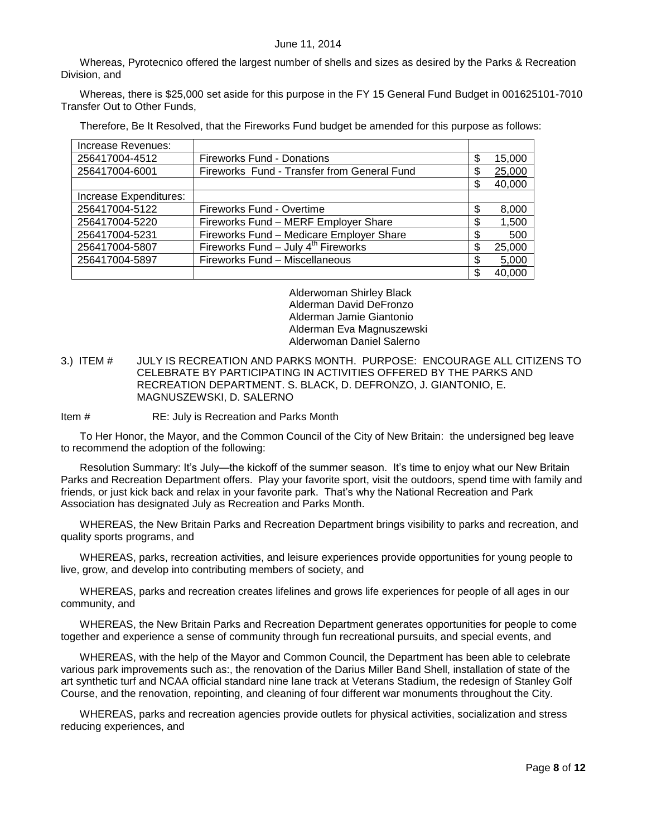Whereas, Pyrotecnico offered the largest number of shells and sizes as desired by the Parks & Recreation Division, and

Whereas, there is \$25,000 set aside for this purpose in the FY 15 General Fund Budget in 001625101-7010 Transfer Out to Other Funds,

Therefore, Be It Resolved, that the Fireworks Fund budget be amended for this purpose as follows:

| Increase Revenues:     |                                             |    |        |
|------------------------|---------------------------------------------|----|--------|
| 256417004-4512         | <b>Fireworks Fund - Donations</b>           | \$ | 15,000 |
| 256417004-6001         | Fireworks Fund - Transfer from General Fund | \$ | 25,000 |
|                        |                                             | S  | 40,000 |
| Increase Expenditures: |                                             |    |        |
| 256417004-5122         | Fireworks Fund - Overtime                   | \$ | 8,000  |
| 256417004-5220         | Fireworks Fund - MERF Employer Share        | \$ | 1,500  |
| 256417004-5231         | Fireworks Fund - Medicare Employer Share    | S  | 500    |
| 256417004-5807         | Fireworks Fund $-$ July $4th$ Fireworks     | \$ | 25,000 |
| 256417004-5897         | Fireworks Fund - Miscellaneous              | \$ | 5,000  |
|                        |                                             |    | 40.000 |

Alderwoman Shirley Black Alderman David DeFronzo Alderman Jamie Giantonio Alderman Eva Magnuszewski Alderwoman Daniel Salerno

- <span id="page-7-0"></span>3.) ITEM # JULY IS RECREATION AND PARKS MONTH. PURPOSE: ENCOURAGE ALL CITIZENS TO CELEBRATE BY PARTICIPATING IN ACTIVITIES OFFERED BY THE PARKS AND RECREATION DEPARTMENT. S. BLACK, D. DEFRONZO, J. GIANTONIO, E. MAGNUSZEWSKI, D. SALERNO
- Item # RE: July is Recreation and Parks Month

To Her Honor, the Mayor, and the Common Council of the City of New Britain: the undersigned beg leave to recommend the adoption of the following:

Resolution Summary: It's July—the kickoff of the summer season. It's time to enjoy what our New Britain Parks and Recreation Department offers. Play your favorite sport, visit the outdoors, spend time with family and friends, or just kick back and relax in your favorite park. That's why the National Recreation and Park Association has designated July as Recreation and Parks Month.

WHEREAS, the New Britain Parks and Recreation Department brings visibility to parks and recreation, and quality sports programs, and

WHEREAS, parks, recreation activities, and leisure experiences provide opportunities for young people to live, grow, and develop into contributing members of society, and

WHEREAS, parks and recreation creates lifelines and grows life experiences for people of all ages in our community, and

WHEREAS, the New Britain Parks and Recreation Department generates opportunities for people to come together and experience a sense of community through fun recreational pursuits, and special events, and

WHEREAS, with the help of the Mayor and Common Council, the Department has been able to celebrate various park improvements such as:, the renovation of the Darius Miller Band Shell, installation of state of the art synthetic turf and NCAA official standard nine lane track at Veterans Stadium, the redesign of Stanley Golf Course, and the renovation, repointing, and cleaning of four different war monuments throughout the City.

WHEREAS, parks and recreation agencies provide outlets for physical activities, socialization and stress reducing experiences, and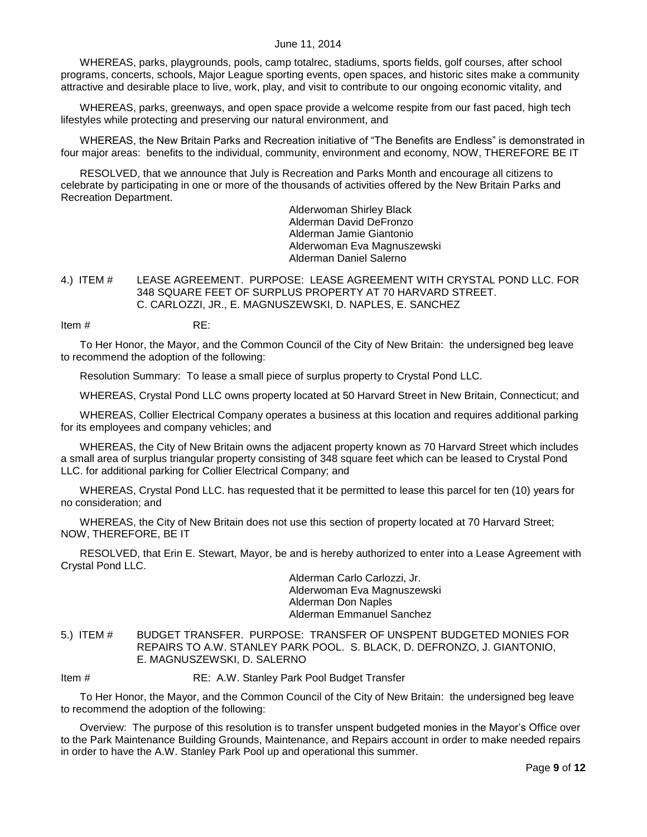WHEREAS, parks, playgrounds, pools, camp totalrec, stadiums, sports fields, golf courses, after school programs, concerts, schools, Major League sporting events, open spaces, and historic sites make a community attractive and desirable place to live, work, play, and visit to contribute to our ongoing economic vitality, and

WHEREAS, parks, greenways, and open space provide a welcome respite from our fast paced, high tech lifestyles while protecting and preserving our natural environment, and

WHEREAS, the New Britain Parks and Recreation initiative of "The Benefits are Endless" is demonstrated in four major areas: benefits to the individual, community, environment and economy, NOW, THEREFORE BE IT

RESOLVED, that we announce that July is Recreation and Parks Month and encourage all citizens to celebrate by participating in one or more of the thousands of activities offered by the New Britain Parks and Recreation Department.

> Alderwoman Shirley Black Alderman David DeFronzo Alderman Jamie Giantonio Alderwoman Eva Magnuszewski Alderman Daniel Salerno

<span id="page-8-0"></span>4.) ITEM # LEASE AGREEMENT. PURPOSE: LEASE AGREEMENT WITH CRYSTAL POND LLC. FOR 348 SQUARE FEET OF SURPLUS PROPERTY AT 70 HARVARD STREET. C. CARLOZZI, JR., E. MAGNUSZEWSKI, D. NAPLES, E. SANCHEZ

Item # RE:

To Her Honor, the Mayor, and the Common Council of the City of New Britain: the undersigned beg leave to recommend the adoption of the following:

Resolution Summary: To lease a small piece of surplus property to Crystal Pond LLC.

WHEREAS, Crystal Pond LLC owns property located at 50 Harvard Street in New Britain, Connecticut; and

WHEREAS, Collier Electrical Company operates a business at this location and requires additional parking for its employees and company vehicles; and

WHEREAS, the City of New Britain owns the adjacent property known as 70 Harvard Street which includes a small area of surplus triangular property consisting of 348 square feet which can be leased to Crystal Pond LLC. for additional parking for Collier Electrical Company; and

WHEREAS, Crystal Pond LLC. has requested that it be permitted to lease this parcel for ten (10) years for no consideration; and

WHEREAS, the City of New Britain does not use this section of property located at 70 Harvard Street; NOW, THEREFORE, BE IT

RESOLVED, that Erin E. Stewart, Mayor, be and is hereby authorized to enter into a Lease Agreement with Crystal Pond LLC.

> Alderman Carlo Carlozzi, Jr. Alderwoman Eva Magnuszewski Alderman Don Naples Alderman Emmanuel Sanchez

<span id="page-8-1"></span>5.) ITEM # BUDGET TRANSFER. PURPOSE: TRANSFER OF UNSPENT BUDGETED MONIES FOR REPAIRS TO A.W. STANLEY PARK POOL. S. BLACK, D. DEFRONZO, J. GIANTONIO, E. MAGNUSZEWSKI, D. SALERNO

Item # RE: A.W. Stanley Park Pool Budget Transfer

To Her Honor, the Mayor, and the Common Council of the City of New Britain: the undersigned beg leave to recommend the adoption of the following:

Overview: The purpose of this resolution is to transfer unspent budgeted monies in the Mayor's Office over to the Park Maintenance Building Grounds, Maintenance, and Repairs account in order to make needed repairs in order to have the A.W. Stanley Park Pool up and operational this summer.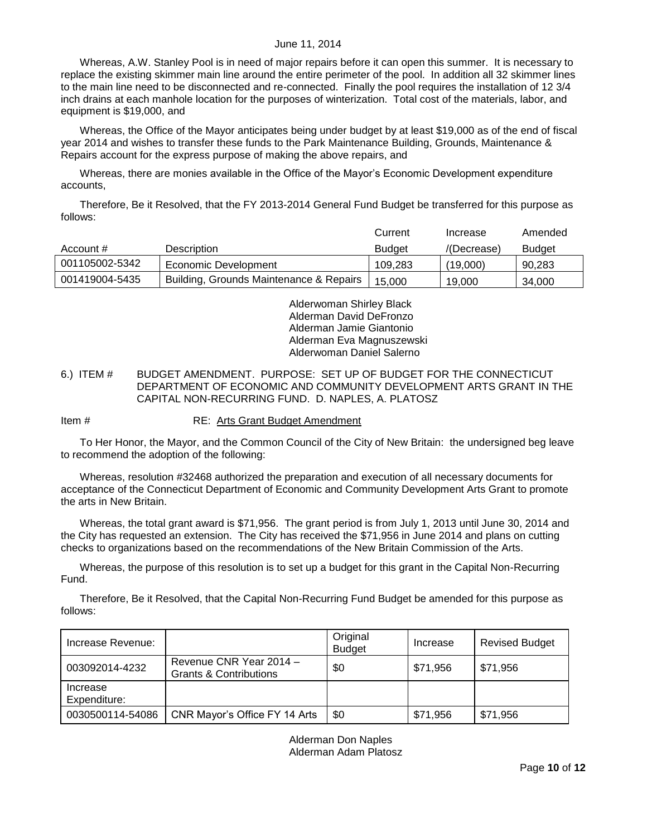Whereas, A.W. Stanley Pool is in need of major repairs before it can open this summer. It is necessary to replace the existing skimmer main line around the entire perimeter of the pool. In addition all 32 skimmer lines to the main line need to be disconnected and re-connected. Finally the pool requires the installation of 12 3/4 inch drains at each manhole location for the purposes of winterization. Total cost of the materials, labor, and equipment is \$19,000, and

Whereas, the Office of the Mayor anticipates being under budget by at least \$19,000 as of the end of fiscal year 2014 and wishes to transfer these funds to the Park Maintenance Building, Grounds, Maintenance & Repairs account for the express purpose of making the above repairs, and

Whereas, there are monies available in the Office of the Mayor's Economic Development expenditure accounts,

Therefore, Be it Resolved, that the FY 2013-2014 General Fund Budget be transferred for this purpose as follows:

|                |                                         | Current       | Increase    | Amended       |
|----------------|-----------------------------------------|---------------|-------------|---------------|
| Account #      | Description                             | <b>Budget</b> | /(Decrease) | <b>Budget</b> |
| 001105002-5342 | Economic Development                    | 109.283       | (19,000)    | 90.283        |
| 001419004-5435 | Building, Grounds Maintenance & Repairs | 15.000        | 19.000      | 34.000        |

Alderwoman Shirley Black Alderman David DeFronzo Alderman Jamie Giantonio Alderman Eva Magnuszewski Alderwoman Daniel Salerno

### <span id="page-9-0"></span>6.) ITEM # BUDGET AMENDMENT. PURPOSE: SET UP OF BUDGET FOR THE CONNECTICUT DEPARTMENT OF ECONOMIC AND COMMUNITY DEVELOPMENT ARTS GRANT IN THE CAPITAL NON-RECURRING FUND. D. NAPLES, A. PLATOSZ

Item # RE: Arts Grant Budget Amendment

To Her Honor, the Mayor, and the Common Council of the City of New Britain: the undersigned beg leave to recommend the adoption of the following:

Whereas, resolution #32468 authorized the preparation and execution of all necessary documents for acceptance of the Connecticut Department of Economic and Community Development Arts Grant to promote the arts in New Britain.

Whereas, the total grant award is \$71,956. The grant period is from July 1, 2013 until June 30, 2014 and the City has requested an extension. The City has received the \$71,956 in June 2014 and plans on cutting checks to organizations based on the recommendations of the New Britain Commission of the Arts.

Whereas, the purpose of this resolution is to set up a budget for this grant in the Capital Non-Recurring Fund.

Therefore, Be it Resolved, that the Capital Non-Recurring Fund Budget be amended for this purpose as follows:

| Increase Revenue:        |                                                   | Original<br><b>Budget</b> | Increase | <b>Revised Budget</b> |
|--------------------------|---------------------------------------------------|---------------------------|----------|-----------------------|
| 003092014-4232           | Revenue CNR Year 2014 -<br>Grants & Contributions | \$0                       | \$71,956 | \$71,956              |
| Increase<br>Expenditure: |                                                   |                           |          |                       |
| 0030500114-54086         | CNR Mayor's Office FY 14 Arts                     | \$0                       | \$71,956 | \$71,956              |

Alderman Don Naples Alderman Adam Platosz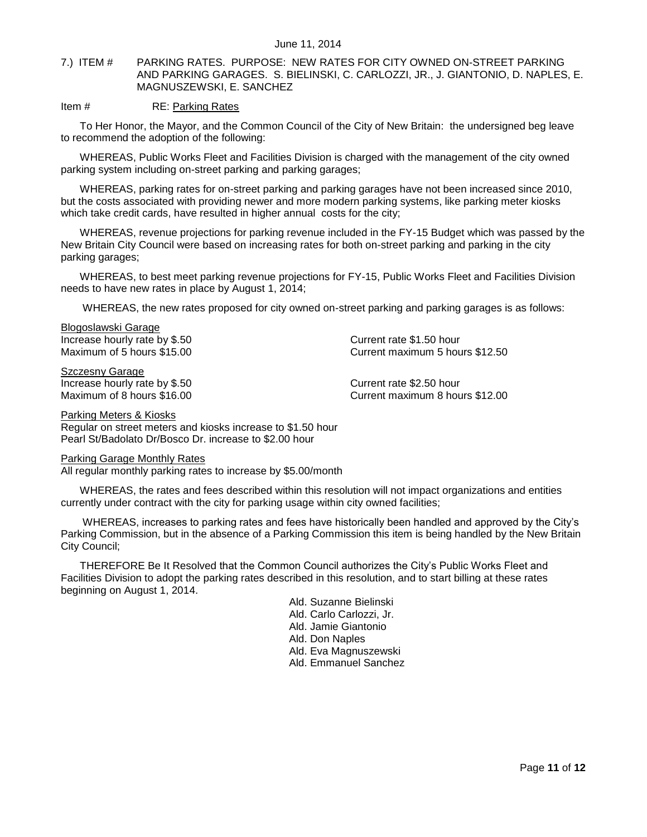<span id="page-10-0"></span>7.) ITEM # PARKING RATES. PURPOSE: NEW RATES FOR CITY OWNED ON-STREET PARKING AND PARKING GARAGES. S. BIELINSKI, C. CARLOZZI, JR., J. GIANTONIO, D. NAPLES, E. MAGNUSZEWSKI, E. SANCHEZ

### Item # RE: Parking Rates

To Her Honor, the Mayor, and the Common Council of the City of New Britain: the undersigned beg leave to recommend the adoption of the following:

WHEREAS, Public Works Fleet and Facilities Division is charged with the management of the city owned parking system including on-street parking and parking garages;

WHEREAS, parking rates for on-street parking and parking garages have not been increased since 2010, but the costs associated with providing newer and more modern parking systems, like parking meter kiosks which take credit cards, have resulted in higher annual costs for the city;

WHEREAS, revenue projections for parking revenue included in the FY-15 Budget which was passed by the New Britain City Council were based on increasing rates for both on-street parking and parking in the city parking garages;

WHEREAS, to best meet parking revenue projections for FY-15, Public Works Fleet and Facilities Division needs to have new rates in place by August 1, 2014;

WHEREAS, the new rates proposed for city owned on-street parking and parking garages is as follows:

Blogoslawski Garage Increase hourly rate by \$.50 Current rate \$1.50 hour

Szczesny Garage Increase hourly rate by \$.50 Current rate \$2.50 hour

Maximum of 5 hours \$15.00 Current maximum 5 hours \$12.50

Maximum of 8 hours \$16.00 Current maximum 8 hours \$12.00

#### Parking Meters & Kiosks

Regular on street meters and kiosks increase to \$1.50 hour Pearl St/Badolato Dr/Bosco Dr. increase to \$2.00 hour

#### Parking Garage Monthly Rates

All regular monthly parking rates to increase by \$5.00/month

WHEREAS, the rates and fees described within this resolution will not impact organizations and entities currently under contract with the city for parking usage within city owned facilities;

WHEREAS, increases to parking rates and fees have historically been handled and approved by the City's Parking Commission, but in the absence of a Parking Commission this item is being handled by the New Britain City Council;

THEREFORE Be It Resolved that the Common Council authorizes the City's Public Works Fleet and Facilities Division to adopt the parking rates described in this resolution, and to start billing at these rates beginning on August 1, 2014.

> Ald. Suzanne Bielinski Ald. Carlo Carlozzi, Jr. Ald. Jamie Giantonio Ald. Don Naples Ald. Eva Magnuszewski Ald. Emmanuel Sanchez